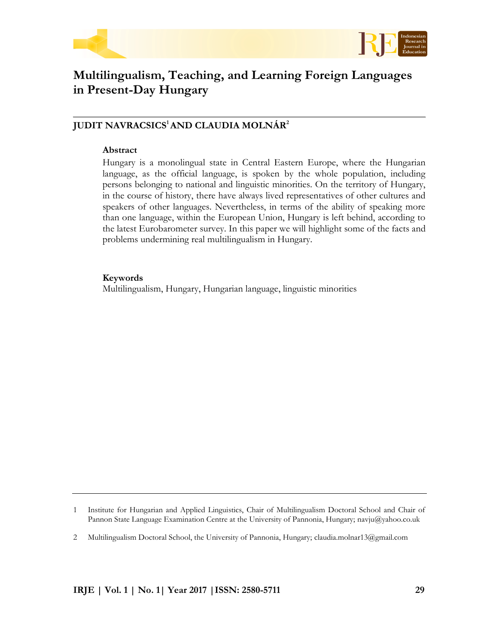



# **Multilingualism, Teaching, and Learning Foreign Languages in Present-Day Hungary**

# **JUDIT NAVRACSICS<sup>1</sup>AND CLAUDIA MOLNÁR<sup>2</sup>**

## **Abstract**

Hungary is a monolingual state in Central Eastern Europe, where the Hungarian language, as the official language, is spoken by the whole population, including persons belonging to national and linguistic minorities. On the territory of Hungary, in the course of history, there have always lived representatives of other cultures and speakers of other languages. Nevertheless, in terms of the ability of speaking more than one language, within the European Union, Hungary is left behind, according to the latest Eurobarometer survey. In this paper we will highlight some of the facts and problems undermining real multilingualism in Hungary.

# **Keywords**

Multilingualism, Hungary, Hungarian language, linguistic minorities

<sup>1</sup> Institute for Hungarian and Applied Linguistics, Chair of Multilingualism Doctoral School and Chair of Pannon State Language Examination Centre at the University of Pannonia, Hungary; navju@yahoo.co.uk

<sup>2</sup> Multilingualism Doctoral School, the University of Pannonia, Hungary; claudia.molnar13@gmail.com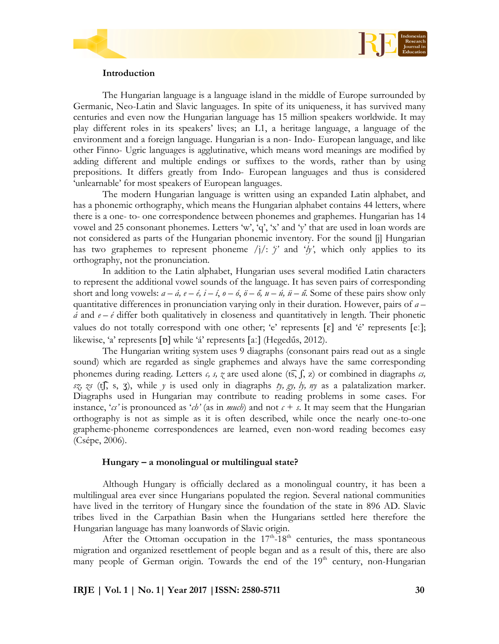



## **Introduction**

The Hungarian language is a language island in the middle of Europe surrounded by Germanic, Neo-Latin and Slavic languages. In spite of its uniqueness, it has survived many centuries and even now the Hungarian language has 15 million speakers worldwide. It may play different roles in its speakers' lives; an L1, a heritage language, a language of the environment and a foreign language. Hungarian is a non- Indo- European language, and like other Finno- Ugric languages is agglutinative, which means word meanings are modified by adding different and multiple endings or suffixes to the words, rather than by using prepositions. It differs greatly from Indo- European languages and thus is considered 'unlearnable' for most speakers of European languages.

The modern Hungarian language is written using an expanded Latin alphabet, and has a phonemic orthography, which means the Hungarian alphabet contains 44 letters, where there is a one- to- one correspondence between phonemes and graphemes. Hungarian has 14 vowel and 25 consonant phonemes. Letters 'w', 'q', 'x' and 'y' that are used in loan words are not considered as parts of the Hungarian phonemic inventory. For the sound [j] Hungarian has two graphemes to represent phoneme  $\langle j \rangle$ : *'j'* and '*ly'*, which only applies to its orthography, not the pronunciation.

In addition to the Latin alphabet, Hungarian uses several modified Latin characters to represent the additional vowel sounds of the language. It has seven pairs of corresponding short and long vowels:  $a - \acute{a}$ ,  $e - \acute{e}$ ,  $\acute{i} - \acute{i}$ ,  $o - \acute{o}$ ,  $\ddot{o} - \acute{o}$ ,  $u - \acute{u}$ ,  $\ddot{u} - \acute{u}$ . Some of these pairs show only quantitative differences in pronunciation varying only in their duration. However, pairs of *a –*  $\acute{a}$  and  $e - \acute{e}$  differ both qualitatively in closeness and quantitatively in length. Their phonetic values do not totally correspond with one other; 'e' represents  $[\epsilon]$  and 'é' represents  $[\epsilon]$ ; likewise, 'a' represents [v] while 'á' represents [a:] (Hegedűs, 2012).

The Hungarian writing system uses 9 diagraphs (consonant pairs read out as a single sound) which are regarded as single graphemes and always have the same corresponding phonemes during reading. Letters  $c, s, z$  are used alone (ts, f, z) or combined in diagraphs  $c,$ *sz, zs* (t͡ʃ, s, ʒ), while *y* is used only in diagraphs *ty, gy, ly, ny* as a palatalization marker. Diagraphs used in Hungarian may contribute to reading problems in some cases. For instance, '*cs'* is pronounced as '*ch'* (as in *much*) and not  $c + s$ . It may seem that the Hungarian orthography is not as simple as it is often described, while once the nearly one-to-one grapheme-phoneme correspondences are learned, even non-word reading becomes easy (Csépe, 2006).

#### **Hungary – a monolingual or multilingual state?**

Although Hungary is officially declared as a monolingual country, it has been a multilingual area ever since Hungarians populated the region. Several national communities have lived in the territory of Hungary since the foundation of the state in 896 AD. Slavic tribes lived in the Carpathian Basin when the Hungarians settled here therefore the Hungarian language has many loanwords of Slavic origin.

After the Ottoman occupation in the  $17<sup>th</sup> - 18<sup>th</sup>$  centuries, the mass spontaneous migration and organized resettlement of people began and as a result of this, there are also many people of German origin. Towards the end of the 19<sup>th</sup> century, non-Hungarian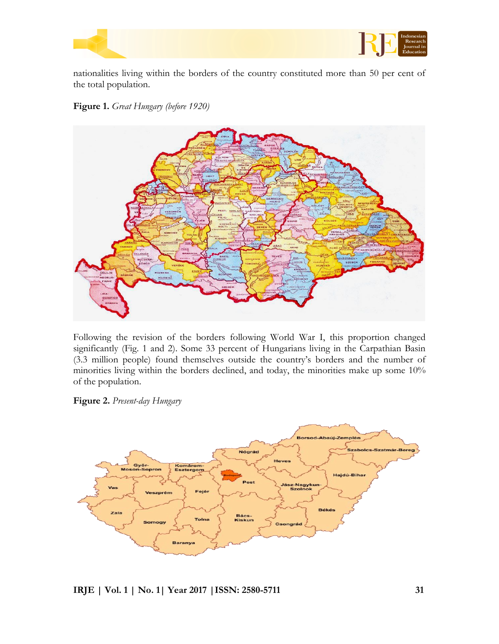



nationalities living within the borders of the country constituted more than 50 per cent of the total population.

**Figure 1.** *Great Hungary (before 1920)*



Following the revision of the borders following World War I, this proportion changed significantly (Fig. 1 and 2). Some 33 percent of Hungarians living in the Carpathian Basin (3.3 million people) found themselves outside the country's borders and the number of minorities living within the borders declined, and today, the minorities make up some 10% of the population.

**Figure 2.** *Present-day Hungary* 

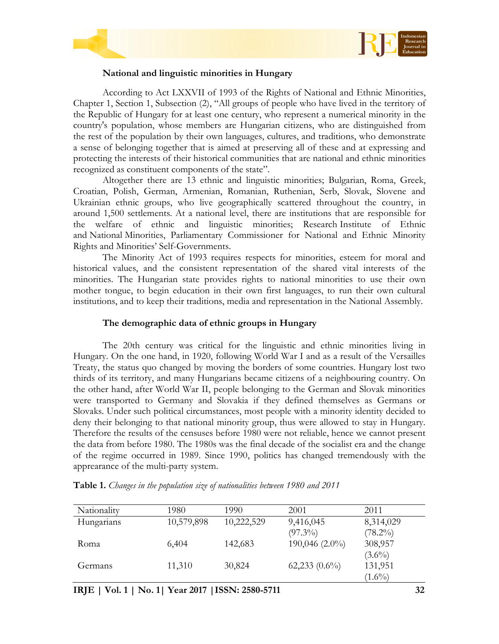



## **National and linguistic minorities in Hungary**

According to Act LXXVII of 1993 of the Rights of National and Ethnic Minorities, Chapter 1, Section 1, Subsection (2), "All groups of people who have lived in the territory of the Republic of Hungary for at least one century, who represent a numerical minority in the country's population, whose members are Hungarian citizens, who are distinguished from the rest of the population by their own languages, cultures, and traditions, who demonstrate a sense of belonging together that is aimed at preserving all of these and at expressing and protecting the interests of their historical communities that are national and ethnic minorities recognized as constituent components of the state".

Altogether there are 13 ethnic and linguistic minorities; Bulgarian, Roma, Greek, Croatian, Polish, German, Armenian, Romanian, Ruthenian, Serb, Slovak, Slovene and Ukrainian ethnic groups, who live geographically scattered throughout the country, in around 1,500 settlements. At a national level, there are institutions that are responsible for the welfare of ethnic and linguistic minorities; Research Institute of Ethnic and National Minorities, Parliamentary Commissioner for National and Ethnic Minority Rights and Minorities' Self-Governments.

The Minority Act of 1993 requires respects for minorities, esteem for moral and historical values, and the consistent representation of the shared vital interests of the minorities. The Hungarian state provides rights to national minorities to use their own mother tongue, to begin education in their own first languages, to run their own cultural institutions, and to keep their traditions, media and representation in the National Assembly.

# **The demographic data of ethnic groups in Hungary**

The 20th century was critical for the linguistic and ethnic minorities living in Hungary. On the one hand, in 1920, following World War I and as a result of the Versailles Treaty, the status quo changed by moving the borders of some countries. Hungary lost two thirds of its territory, and many Hungarians became citizens of a neighbouring country. On the other hand, after World War II, people belonging to the German and Slovak minorities were transported to Germany and Slovakia if they defined themselves as Germans or Slovaks. Under such political circumstances, most people with a minority identity decided to deny their belonging to that national minority group, thus were allowed to stay in Hungary. Therefore the results of the censuses before 1980 were not reliable, hence we cannot present the data from before 1980. The 1980s was the final decade of the socialist era and the change of the regime occurred in 1989. Since 1990, politics has changed tremendously with the apprearance of the multi-party system.

| Nationality | 1980       | 1990       | 2001               | 2011       |
|-------------|------------|------------|--------------------|------------|
| Hungarians  | 10,579,898 | 10,222,529 | 9,416,045          | 8,314,029  |
|             |            |            | $(97.3\%)$         | $(78.2\%)$ |
| Roma        | 6,404      | 142,683    | $190,046(2.0\%)$   | 308,957    |
|             |            |            |                    | $(3.6\%)$  |
| Germans     | 11,310     | 30,824     | $62,233$ $(0.6\%)$ | 131,951    |
|             |            |            |                    | $(1.6\%)$  |

**Table 1.** *Changes in the population size of nationalities between 1980 and 2011*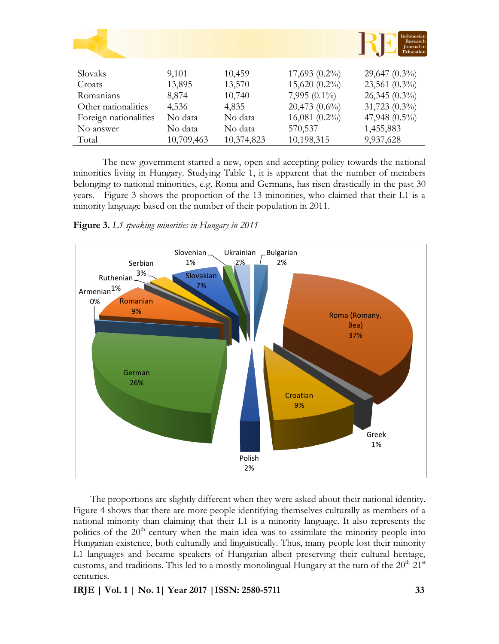|                       |            |            |                    | Indonesian<br>Research<br>Journal in<br>Education |
|-----------------------|------------|------------|--------------------|---------------------------------------------------|
|                       |            |            |                    |                                                   |
| Slovaks               | 9,101      | 10,459     | $17,693(0.2\%)$    | $29,647(0.3\%)$                                   |
| Croats                | 13,895     | 13,570     | 15,620 (0.2%)      | $23,561$ $(0.3\%)$                                |
| Romanians             | 8,874      | 10,740     | 7,995 $(0.1\%)$    | $26,345(0.3\%)$                                   |
| Other nationalities   | 4,536      | 4,835      | $20,473$ $(0.6\%)$ | $31,723$ $(0.3\%)$                                |
| Foreign nationalities | No data    | No data    | $16,081(0.2\%)$    | 47,948 $(0.5\%)$                                  |
| No answer             | No data    | No data    | 570,537            | 1,455,883                                         |
| Total                 | 10,709,463 | 10,374,823 | 10,198,315         | 9,937,628                                         |

The new government started a new, open and accepting policy towards the national minorities living in Hungary. Studying Table 1, it is apparent that the number of members belonging to national minorities, e.g. Roma and Germans, has risen drastically in the past 30 years. Figure 3 shows the proportion of the 13 minorities, who claimed that their L1 is a minority language based on the number of their population in 2011.

**Figure 3.** *L1 speaking minorities in Hungary in 2011*



The proportions are slightly different when they were asked about their national identity. Figure 4 shows that there are more people identifying themselves culturally as members of a national minority than claiming that their L1 is a minority language. It also represents the politics of the  $20<sup>th</sup>$  century when the main idea was to assimilate the minority people into Hungarian existence, both culturally and linguistically. Thus, many people lost their minority L1 languages and became speakers of Hungarian albeit preserving their cultural heritage, customs, and traditions. This led to a mostly monolingual Hungary at the turn of the  $20^{\text{th}}$ -21st centuries.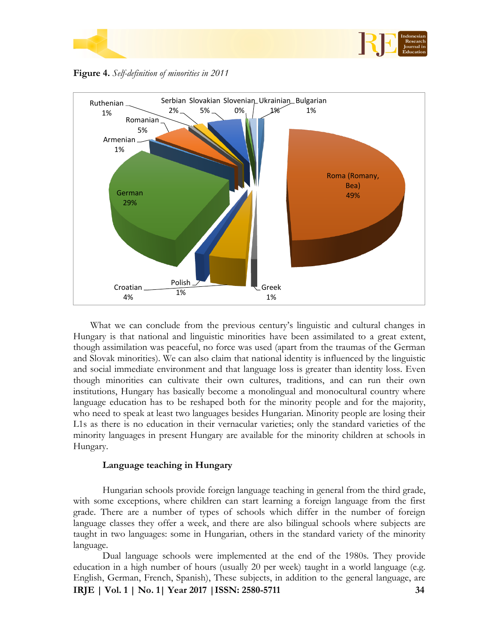

**Figure 4.** *Self-definition of minorities in 2011*



What we can conclude from the previous century's linguistic and cultural changes in Hungary is that national and linguistic minorities have been assimilated to a great extent, though assimilation was peaceful, no force was used (apart from the traumas of the German and Slovak minorities). We can also claim that national identity is influenced by the linguistic and social immediate environment and that language loss is greater than identity loss. Even though minorities can cultivate their own cultures, traditions, and can run their own institutions, Hungary has basically become a monolingual and monocultural country where language education has to be reshaped both for the minority people and for the majority, who need to speak at least two languages besides Hungarian. Minority people are losing their L1s as there is no education in their vernacular varieties; only the standard varieties of the minority languages in present Hungary are available for the minority children at schools in Hungary.

# **Language teaching in Hungary**

Hungarian schools provide foreign language teaching in general from the third grade, with some exceptions, where children can start learning a foreign language from the first grade. There are a number of types of schools which differ in the number of foreign language classes they offer a week, and there are also bilingual schools where subjects are taught in two languages: some in Hungarian, others in the standard variety of the minority language.

**IRJE | Vol. 1 | No. 1| Year 2017 |ISSN: 2580-5711 34** Dual language schools were implemented at the end of the 1980s. They provide education in a high number of hours (usually 20 per week) taught in a world language (e.g. English, German, French, Spanish), These subjects, in addition to the general language, are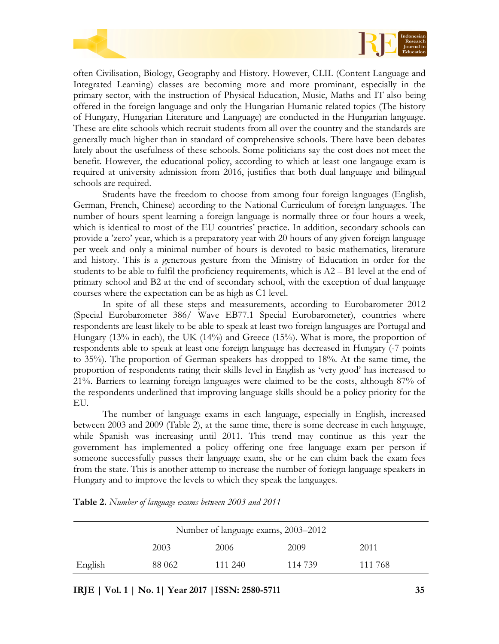



often Civilisation, Biology, Geography and History. However, CLIL (Content Language and Integrated Learning) classes are becoming more and more prominant, especially in the primary sector, with the instruction of Physical Education, Music, Maths and IT also being offered in the foreign language and only the Hungarian Humanic related topics (The history of Hungary, Hungarian Literature and Language) are conducted in the Hungarian language. These are elite schools which recruit students from all over the country and the standards are generally much higher than in standard of comprehensive schools. There have been debates lately about the usefulness of these schools. Some politicians say the cost does not meet the benefit. However, the educational policy, according to which at least one langauge exam is required at university admission from 2016, justifies that both dual language and bilingual schools are required.

Students have the freedom to choose from among four foreign languages (English, German, French, Chinese) according to the National Curriculum of foreign languages. The number of hours spent learning a foreign language is normally three or four hours a week, which is identical to most of the EU countries' practice. In addition, secondary schools can provide a 'zero' year, which is a preparatory year with 20 hours of any given foreign language per week and only a minimal number of hours is devoted to basic mathematics, literature and history. This is a generous gesture from the Ministry of Education in order for the students to be able to fulfil the proficiency requirements, which is  $A2 - B1$  level at the end of primary school and B2 at the end of secondary school, with the exception of dual language courses where the expectation can be as high as C1 level.

In spite of all these steps and measurements, according to Eurobarometer 2012 (Special Eurobarometer 386/ Wave EB77.1 Special Eurobarometer), countries where respondents are least likely to be able to speak at least two foreign languages are Portugal and Hungary (13% in each), the UK (14%) and Greece (15%). What is more, the proportion of respondents able to speak at least one foreign language has decreased in Hungary (-7 points to 35%). The proportion of German speakers has dropped to 18%. At the same time, the proportion of respondents rating their skills level in English as 'very good' has increased to 21%. Barriers to learning foreign languages were claimed to be the costs, although 87% of the respondents underlined that improving language skills should be a policy priority for the EU.

The number of language exams in each language, especially in English, increased between 2003 and 2009 (Table 2), at the same time, there is some decrease in each language, while Spanish was increasing until 2011. This trend may continue as this year the government has implemented a policy offering one free language exam per person if someone successfully passes their language exam, she or he can claim back the exam fees from the state. This is another attemp to increase the number of foriegn language speakers in Hungary and to improve the levels to which they speak the languages.

| Number of language exams, 2003–2012 |        |         |         |         |  |
|-------------------------------------|--------|---------|---------|---------|--|
|                                     | 2003   | 2006    | 2009    | 2011    |  |
| English                             | 88 062 | 111 240 | 114 739 | 111 768 |  |

**Table 2.** *Number of language exams between 2003 and 2011*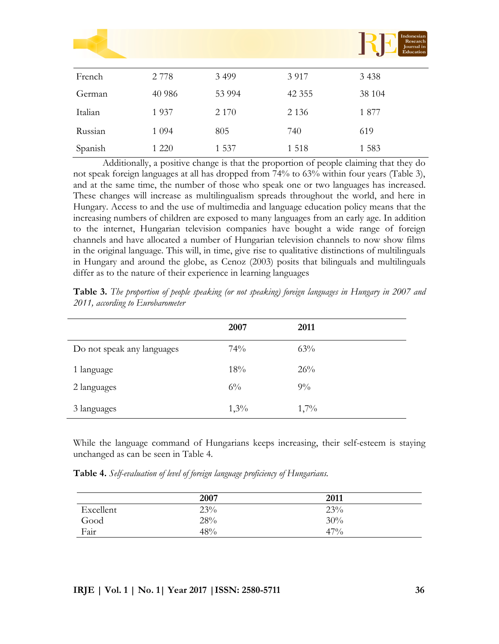|         |         |         |          | Indonesian<br>Research<br>Journal in<br>Education |
|---------|---------|---------|----------|---------------------------------------------------|
| French  | 2 7 7 8 | 3 4 9 9 | 3 9 1 7  | 3 4 3 8                                           |
| German  | 40 986  | 53 994  | 42 3 5 5 | 38 104                                            |
| Italian | 1937    | 2 1 7 0 | 2 1 3 6  | 1877                                              |
| Russian | 1 0 9 4 | 805     | 740      | 619                                               |
| Spanish | 1 2 2 0 | 1 5 3 7 | 1 5 1 8  | 1 5 8 3                                           |

Additionally, a positive change is that the proportion of people claiming that they do not speak foreign languages at all has dropped from 74% to 63% within four years (Table 3), and at the same time, the number of those who speak one or two languages has increased. These changes will increase as multilingualism spreads throughout the world, and here in Hungary. Access to and the use of multimedia and language education policy means that the increasing numbers of children are exposed to many languages from an early age. In addition to the internet, Hungarian television companies have bought a wide range of foreign channels and have allocated a number of Hungarian television channels to now show films in the original language. This will, in time, give rise to qualitative distinctions of multilinguals in Hungary and around the globe, as Cenoz (2003) posits that bilinguals and multilinguals differ as to the nature of their experience in learning languages

|                            | 2007  | 2011  |
|----------------------------|-------|-------|
| Do not speak any languages | 74%   | 63%   |
| 1 language                 | 18%   | 26%   |
| 2 languages                | $6\%$ | $9\%$ |
| 3 languages                | 1,3%  | 1,7%  |

**Table 3.** *The proportion of people speaking (or not speaking) foreign languages in Hungary in 2007 and 2011, according to Eurobarometer*

While the language command of Hungarians keeps increasing, their self-esteem is staying unchanged as can be seen in Table 4.

**Table 4.** *Self-evaluation of level of foreign language proficiency of Hungarians.*

|           | 2007 | 2011 |  |
|-----------|------|------|--|
| Excellent | 23%  | 23%  |  |
| Good      | 28%  | 30%  |  |
| Fair      | 48%  | 47%  |  |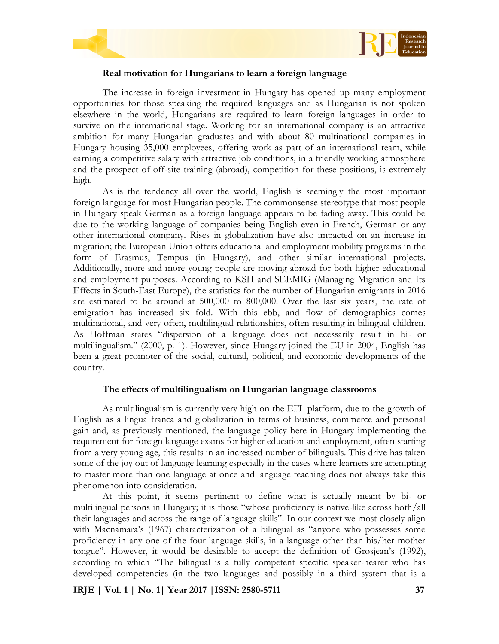



## **Real motivation for Hungarians to learn a foreign language**

The increase in foreign investment in Hungary has opened up many employment opportunities for those speaking the required languages and as Hungarian is not spoken elsewhere in the world, Hungarians are required to learn foreign languages in order to survive on the international stage. Working for an international company is an attractive ambition for many Hungarian graduates and with about 80 multinational companies in Hungary housing 35,000 employees, offering work as part of an international team, while earning a competitive salary with attractive job conditions, in a friendly working atmosphere and the prospect of off-site training (abroad), competition for these positions, is extremely high.

As is the tendency all over the world, English is seemingly the most important foreign language for most Hungarian people. The commonsense stereotype that most people in Hungary speak German as a foreign language appears to be fading away. This could be due to the working language of companies being English even in French, German or any other international company. Rises in globalization have also impacted on an increase in migration; the European Union offers educational and employment mobility programs in the form of Erasmus, Tempus (in Hungary), and other similar international projects. Additionally, more and more young people are moving abroad for both higher educational and employment purposes. According to KSH and SEEMIG (Managing Migration and Its Effects in South-East Europe), the statistics for the number of Hungarian emigrants in 2016 are estimated to be around at 500,000 to 800,000. Over the last six years, the rate of emigration has increased six fold. With this ebb, and flow of demographics comes multinational, and very often, multilingual relationships, often resulting in bilingual children. As Hoffman states "dispersion of a language does not necessarily result in bi- or multilingualism." (2000, p. 1). However, since Hungary joined the EU in 2004, English has been a great promoter of the social, cultural, political, and economic developments of the country.

## **The effects of multilingualism on Hungarian language classrooms**

As multilingualism is currently very high on the EFL platform, due to the growth of English as a lingua franca and globalization in terms of business, commerce and personal gain and, as previously mentioned, the language policy here in Hungary implementing the requirement for foreign language exams for higher education and employment, often starting from a very young age, this results in an increased number of bilinguals. This drive has taken some of the joy out of language learning especially in the cases where learners are attempting to master more than one language at once and language teaching does not always take this phenomenon into consideration.

At this point, it seems pertinent to define what is actually meant by bi- or multilingual persons in Hungary; it is those "whose proficiency is native-like across both/all their languages and across the range of language skills". In our context we most closely align with Macnamara's (1967) characterization of a bilingual as "anyone who possesses some proficiency in any one of the four language skills, in a language other than his/her mother tongue". However, it would be desirable to accept the definition of Grosjean's (1992), according to which "The bilingual is a fully competent specific speaker-hearer who has developed competencies (in the two languages and possibly in a third system that is a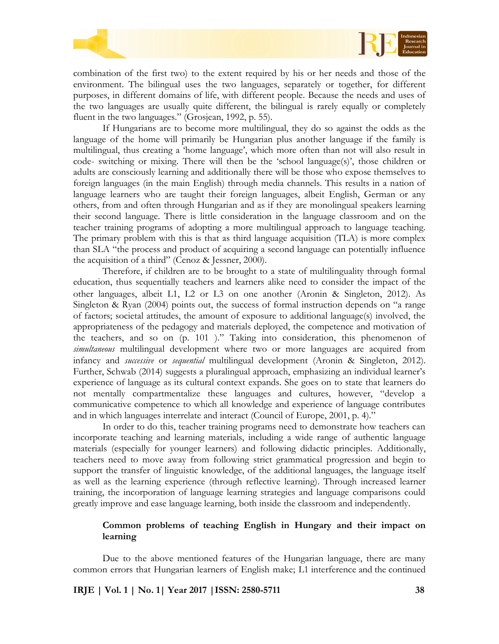

combination of the first two) to the extent required by his or her needs and those of the environment. The bilingual uses the two languages, separately or together, for different purposes, in different domains of life, with different people. Because the needs and uses of the two languages are usually quite different, the bilingual is rarely equally or completely fluent in the two languages." (Grosjean, 1992, p. 55).

If Hungarians are to become more multilingual, they do so against the odds as the language of the home will primarily be Hungarian plus another language if the family is multilingual, thus creating a 'home language', which more often than not will also result in code- switching or mixing. There will then be the 'school language(s)', those children or adults are consciously learning and additionally there will be those who expose themselves to foreign languages (in the main English) through media channels. This results in a nation of language learners who are taught their foreign languages, albeit English, German or any others, from and often through Hungarian and as if they are monolingual speakers learning their second language. There is little consideration in the language classroom and on the teacher training programs of adopting a more multilingual approach to language teaching. The primary problem with this is that as third language acquisition (TLA) is more complex than SLA "the process and product of acquiring a second language can potentially influence the acquisition of a third" (Cenoz & Jessner, 2000).

Therefore, if children are to be brought to a state of multilinguality through formal education, thus sequentially teachers and learners alike need to consider the impact of the other languages, albeit L1, L2 or L3 on one another (Aronin & Singleton, 2012). As Singleton & Ryan (2004) points out, the success of formal instruction depends on "a range of factors; societal attitudes, the amount of exposure to additional language(s) involved, the appropriateness of the pedagogy and materials deployed, the competence and motivation of the teachers, and so on (p. 101 )." Taking into consideration, this phenomenon of *simultaneous* multilingual development where two or more languages are acquired from infancy and *successive* or *sequential* multilingual development (Aronin & Singleton, 2012). Further, Schwab (2014) suggests a pluralingual approach, emphasizing an individual learner's experience of language as its cultural context expands. She goes on to state that learners do not mentally compartmentalize these languages and cultures, however, "develop a communicative competence to which all knowledge and experience of language contributes and in which languages interrelate and interact (Council of Europe, 2001, p. 4)."

In order to do this, teacher training programs need to demonstrate how teachers can incorporate teaching and learning materials, including a wide range of authentic language materials (especially for younger learners) and following didactic principles. Additionally, teachers need to move away from following strict grammatical progression and begin to support the transfer of linguistic knowledge, of the additional languages, the language itself as well as the learning experience (through reflective learning). Through increased learner training, the incorporation of language learning strategies and language comparisons could greatly improve and ease language learning, both inside the classroom and independently.

# **Common problems of teaching English in Hungary and their impact on learning**

Due to the above mentioned features of the Hungarian language, there are many common errors that Hungarian learners of English make; L1 interference and the continued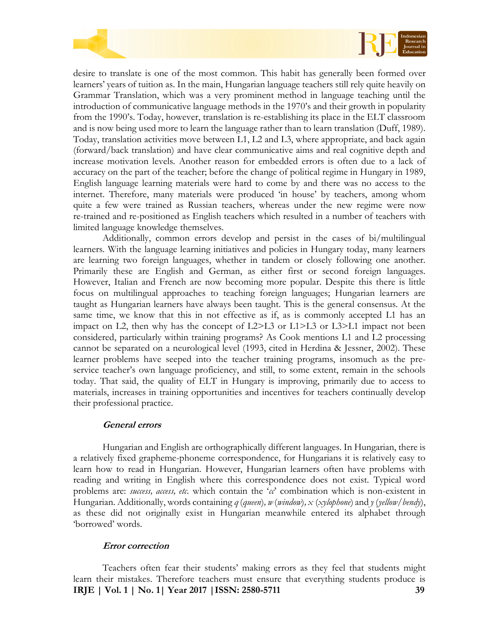

desire to translate is one of the most common. This habit has generally been formed over learners' years of tuition as. In the main, Hungarian language teachers still rely quite heavily on Grammar Translation, which was a very prominent method in language teaching until the introduction of communicative language methods in the 1970's and their growth in popularity from the 1990's. Today, however, translation is re-establishing its place in the ELT classroom and is now being used more to learn the language rather than to learn translation (Duff, 1989). Today, translation activities move between L1, L2 and L3, where appropriate, and back again (forward/back translation) and have clear communicative aims and real cognitive depth and increase motivation levels. Another reason for embedded errors is often due to a lack of accuracy on the part of the teacher; before the change of political regime in Hungary in 1989, English language learning materials were hard to come by and there was no access to the internet. Therefore, many materials were produced 'in house' by teachers, among whom quite a few were trained as Russian teachers, whereas under the new regime were now re-trained and re-positioned as English teachers which resulted in a number of teachers with limited language knowledge themselves.

Additionally, common errors develop and persist in the cases of bi/multilingual learners. With the language learning initiatives and policies in Hungary today, many learners are learning two foreign languages, whether in tandem or closely following one another. Primarily these are English and German, as either first or second foreign languages. However, Italian and French are now becoming more popular. Despite this there is little focus on multilingual approaches to teaching foreign languages; Hungarian learners are taught as Hungarian learners have always been taught. This is the general consensus. At the same time, we know that this in not effective as if, as is commonly accepted L1 has an impact on L2, then why has the concept of  $L2>L3$  or  $L1>L3$  or  $L3>L1$  impact not been considered, particularly within training programs? As Cook mentions L1 and L2 processing cannot be separated on a neurological level (1993, cited in Herdina & Jessner, 2002). These learner problems have seeped into the teacher training programs, insomuch as the preservice teacher's own language proficiency, and still, to some extent, remain in the schools today. That said, the quality of ELT in Hungary is improving, primarily due to access to materials, increases in training opportunities and incentives for teachers continually develop their professional practice.

## **General errors**

Hungarian and English are orthographically different languages. In Hungarian, there is a relatively fixed grapheme-phoneme correspondence, for Hungarians it is relatively easy to learn how to read in Hungarian. However, Hungarian learners often have problems with reading and writing in English where this correspondence does not exist. Typical word problems are: *success, access, etc*. which contain the '*cc*' combination which is non-existent in Hungarian. Additionally, words containing *q* (*queen*)*, w* (*window*)*, x* (*xylophone*) and *y* (*yellow/bendy*), as these did not originally exist in Hungarian meanwhile entered its alphabet through 'borrowed' words.

## **Error correction**

**IRJE | Vol. 1 | No. 1| Year 2017 |ISSN: 2580-5711 39** Teachers often fear their students' making errors as they feel that students might learn their mistakes. Therefore teachers must ensure that everything students produce is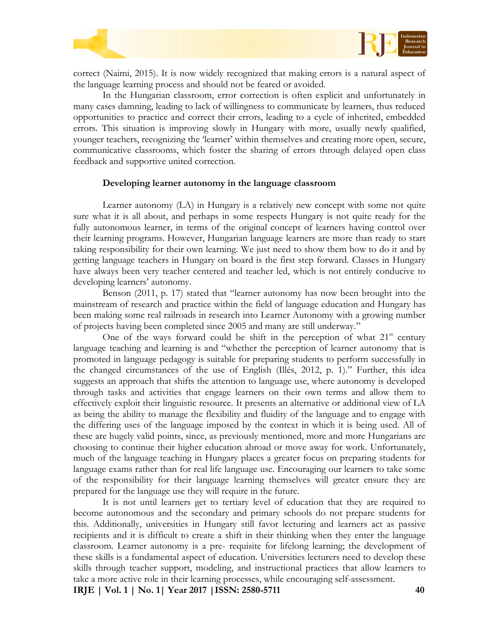



correct (Naimi, 2015). It is now widely recognized that making errors is a natural aspect of the language learning process and should not be feared or avoided.

In the Hungarian classroom, error correction is often explicit and unfortunately in many cases damning, leading to lack of willingness to communicate by learners, thus reduced opportunities to practice and correct their errors, leading to a cycle of inherited, embedded errors. This situation is improving slowly in Hungary with more, usually newly qualified, younger teachers, recognizing the 'learner' within themselves and creating more open, secure, communicative classrooms, which foster the sharing of errors through delayed open class feedback and supportive united correction.

#### **Developing learner autonomy in the language classroom**

Learner autonomy (LA) in Hungary is a relatively new concept with some not quite sure what it is all about, and perhaps in some respects Hungary is not quite ready for the fully autonomous learner, in terms of the original concept of learners having control over their learning programs. However, Hungarian language learners are more than ready to start taking responsibility for their own learning. We just need to show them how to do it and by getting language teachers in Hungary on board is the first step forward. Classes in Hungary have always been very teacher centered and teacher led, which is not entirely conducive to developing learners' autonomy.

Benson (2011, p. 17) stated that "learner autonomy has now been brought into the mainstream of research and practice within the field of language education and Hungary has been making some real railroads in research into Learner Autonomy with a growing number of projects having been completed since 2005 and many are still underway."

One of the ways forward could be shift in the perception of what  $21<sup>st</sup>$  century language teaching and learning is and "whether the perception of learner autonomy that is promoted in language pedagogy is suitable for preparing students to perform successfully in the changed circumstances of the use of English (Illés, 2012, p. 1)." Further, this idea suggests an approach that shifts the attention to language use, where autonomy is developed through tasks and activities that engage learners on their own terms and allow them to effectively exploit their linguistic resource. It presents an alternative or additional view of LA as being the ability to manage the flexibility and fluidity of the language and to engage with the differing uses of the language imposed by the context in which it is being used. All of these are hugely valid points, since, as previously mentioned, more and more Hungarians are choosing to continue their higher education abroad or move away for work. Unfortunately, much of the language teaching in Hungary places a greater focus on preparing students for language exams rather than for real life language use. Encouraging our learners to take some of the responsibility for their language learning themselves will greater ensure they are prepared for the language use they will require in the future.

It is not until learners get to tertiary level of education that they are required to become autonomous and the secondary and primary schools do not prepare students for this. Additionally, universities in Hungary still favor lecturing and learners act as passive recipients and it is difficult to create a shift in their thinking when they enter the language classroom. Learner autonomy is a pre- requisite for lifelong learning; the development of these skills is a fundamental aspect of education. Universities lecturers need to develop these skills through teacher support, modeling, and instructional practices that allow learners to take a more active role in their learning processes, while encouraging self-assessment.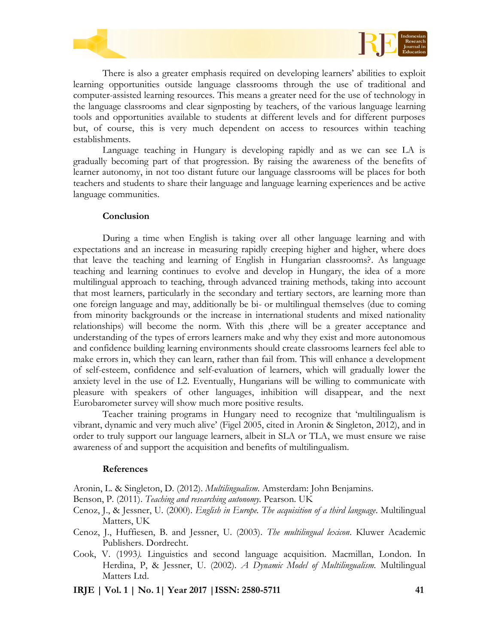



There is also a greater emphasis required on developing learners' abilities to exploit learning opportunities outside language classrooms through the use of traditional and computer-assisted learning resources. This means a greater need for the use of technology in the language classrooms and clear signposting by teachers, of the various language learning tools and opportunities available to students at different levels and for different purposes but, of course, this is very much dependent on access to resources within teaching establishments.

Language teaching in Hungary is developing rapidly and as we can see LA is gradually becoming part of that progression. By raising the awareness of the benefits of learner autonomy, in not too distant future our language classrooms will be places for both teachers and students to share their language and language learning experiences and be active language communities.

#### **Conclusion**

During a time when English is taking over all other language learning and with expectations and an increase in measuring rapidly creeping higher and higher, where does that leave the teaching and learning of English in Hungarian classrooms?. As language teaching and learning continues to evolve and develop in Hungary, the idea of a more multilingual approach to teaching, through advanced training methods, taking into account that most learners, particularly in the secondary and tertiary sectors, are learning more than one foreign language and may, additionally be bi- or multilingual themselves (due to coming from minority backgrounds or the increase in international students and mixed nationality relationships) will become the norm. With this ,there will be a greater acceptance and understanding of the types of errors learners make and why they exist and more autonomous and confidence building learning environments should create classrooms learners feel able to make errors in, which they can learn, rather than fail from. This will enhance a development of self-esteem, confidence and self-evaluation of learners, which will gradually lower the anxiety level in the use of L2. Eventually, Hungarians will be willing to communicate with pleasure with speakers of other languages, inhibition will disappear, and the next Eurobarometer survey will show much more positive results.

Teacher training programs in Hungary need to recognize that 'multilingualism is vibrant, dynamic and very much alive' (Figel 2005, cited in Aronin & Singleton, 2012), and in order to truly support our language learners, albeit in SLA or TLA, we must ensure we raise awareness of and support the acquisition and benefits of multilingualism.

#### **References**

Aronin, L. & Singleton, D. (2012). *Multilingualism.* Amsterdam: John Benjamins.

- Benson, P. (2011). *Teaching and researching autonomy.* Pearson. UK
- Cenoz, J., & Jessner, U. (2000). *English in Europe. The acquisition of a third language*. Multilingual Matters, UK
- Cenoz, J., Huffiesen, B. and Jessner, U. (2003). *The multilingual lexicon*. Kluwer Academic Publishers. Dordrecht.
- Cook, V. (1993*).* Linguistics and second language acquisition. Macmillan, London. In Herdina, P, & Jessner, U. (2002). *A Dynamic Model of Multilingualism.* Multilingual Matters Ltd.
- **IRJE | Vol. 1 | No. 1| Year 2017 |ISSN: 2580-5711 41**